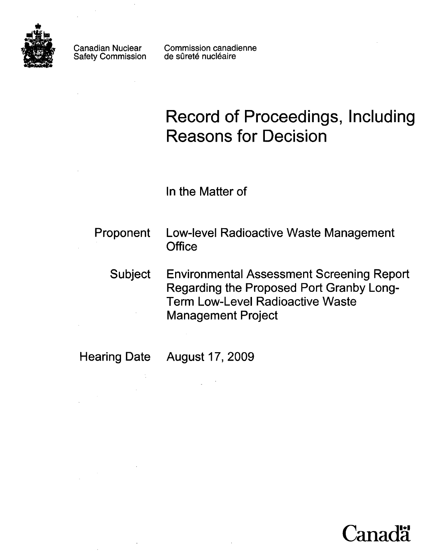

**Canadian Nuclear**<br>Safety Commission Safety Commission

 $\sim 10^{11}$  km s  $^{-1}$ 

Commission canadienne de sûreté nucléaire

# **Record of Proceedings, Including Reasons for Decision**

In the Matter of

| <b>Proponent</b> | <b>Low-level Radioactive Waste Management</b><br>Office                                                                                                              |
|------------------|----------------------------------------------------------------------------------------------------------------------------------------------------------------------|
| <b>Subject</b>   | <b>Environmental Assessment Screening Report</b><br>Regarding the Proposed Port Granby Long-<br><b>Term Low-Level Radioactive Waste</b><br><b>Management Project</b> |

 $\bar{z}$ 

Hearing Date August 17, 2009

 $\frac{1}{\sqrt{2}}\sum_{i=1}^{n} \frac{1}{\sqrt{2}}\left(\frac{1}{\sqrt{2}}\right)^2.$ 

 $\bar{z}$ 

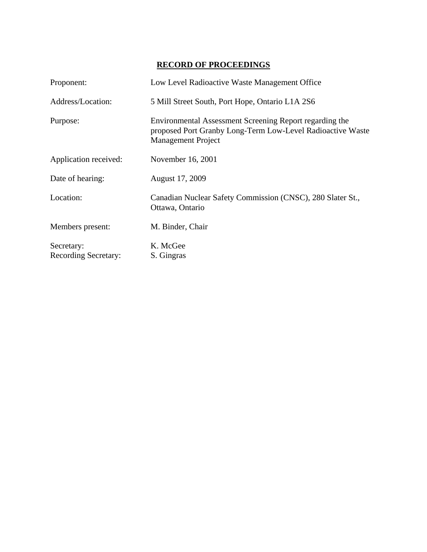## **RECORD OF PROCEEDINGS**

| Proponent:                                | Low Level Radioactive Waste Management Office                                                                                                      |
|-------------------------------------------|----------------------------------------------------------------------------------------------------------------------------------------------------|
| Address/Location:                         | 5 Mill Street South, Port Hope, Ontario L1A 2S6                                                                                                    |
| Purpose:                                  | Environmental Assessment Screening Report regarding the<br>proposed Port Granby Long-Term Low-Level Radioactive Waste<br><b>Management Project</b> |
| Application received:                     | November 16, 2001                                                                                                                                  |
| Date of hearing:                          | August 17, 2009                                                                                                                                    |
| Location:                                 | Canadian Nuclear Safety Commission (CNSC), 280 Slater St.,<br>Ottawa, Ontario                                                                      |
| Members present:                          | M. Binder, Chair                                                                                                                                   |
| Secretary:<br><b>Recording Secretary:</b> | K. McGee<br>S. Gingras                                                                                                                             |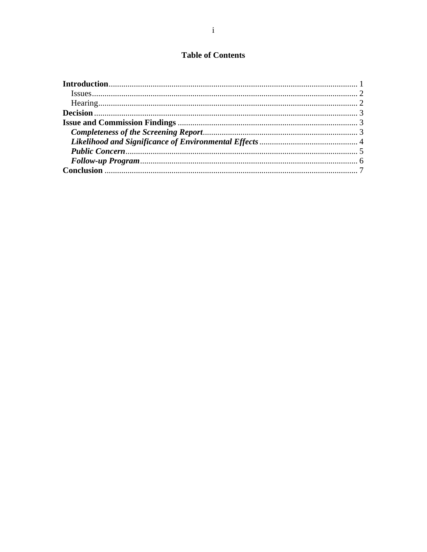# **Table of Contents**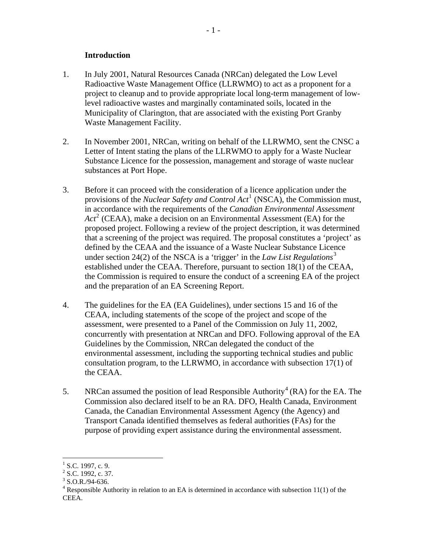#### **Introduction**

- <span id="page-3-0"></span>1. In July 2001, Natural Resources Canada (NRCan) delegated the Low Level Radioactive Waste Management Office (LLRWMO) to act as a proponent for a project to cleanup and to provide appropriate local long-term management of lowlevel radioactive wastes and marginally contaminated soils, located in the Municipality of Clarington, that are associated with the existing Port Granby Waste Management Facility.
- 2. In November 2001, NRCan, writing on behalf of the LLRWMO, sent the CNSC a Letter of Intent stating the plans of the LLRWMO to apply for a Waste Nuclear Substance Licence for the possession, management and storage of waste nuclear substances at Port Hope.
- 3. Before it can proceed with the consideration of a licence application under the provisions of the *Nuclear Safety and Control Act*[1](#page-3-1) (NSCA), the Commission must, in accordance with the requirements of the *Canadian Environmental Assessment*  Act<sup>[2](#page-3-2)</sup> (CEAA), make a decision on an Environmental Assessment (EA) for the proposed project. Following a review of the project description, it was determined that a screening of the project was required. The proposal constitutes a 'project' as defined by the CEAA and the issuance of a Waste Nuclear Substance Licence under section 24(2) of the NSCA is a 'trigger' in the *Law List Regulations*[3](#page-3-3) established under the CEAA. Therefore, pursuant to section 18(1) of the CEAA, the Commission is required to ensure the conduct of a screening EA of the project and the preparation of an EA Screening Report.
- 4. The guidelines for the EA (EA Guidelines), under sections 15 and 16 of the CEAA, including statements of the scope of the project and scope of the assessment, were presented to a Panel of the Commission on July 11, 2002, concurrently with presentation at NRCan and DFO. Following approval of the EA Guidelines by the Commission, NRCan delegated the conduct of the environmental assessment, including the supporting technical studies and public consultation program, to the LLRWMO, in accordance with subsection 17(1) of the CEAA.
- 5. NRCan assumed the position of lead Responsible Authority<sup>[4](#page-3-4)</sup> (RA) for the EA. The Commission also declared itself to be an RA. DFO, Health Canada, Environment Canada, the Canadian Environmental Assessment Agency (the Agency) and Transport Canada identified themselves as federal authorities (FAs) for the purpose of providing expert assistance during the environmental assessment.

 $\overline{a}$ 

<span id="page-3-1"></span> $<sup>1</sup>$  S.C. 1997, c. 9.</sup>

<span id="page-3-2"></span> $2^2$  S.C. 1992, c. 37.

<span id="page-3-3"></span> $3$  S.O.R./94-636.

<span id="page-3-4"></span> $4$  Responsible Authority in relation to an EA is determined in accordance with subsection 11(1) of the CEEA.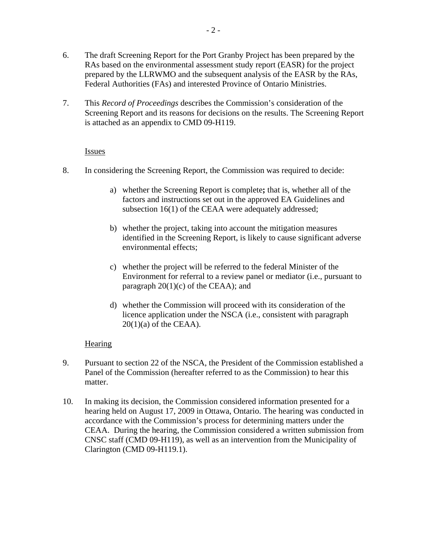- <span id="page-4-0"></span>6. The draft Screening Report for the Port Granby Project has been prepared by the RAs based on the environmental assessment study report (EASR) for the project prepared by the LLRWMO and the subsequent analysis of the EASR by the RAs, Federal Authorities (FAs) and interested Province of Ontario Ministries.
- 7. This *Record of Proceedings* describes the Commission's consideration of the Screening Report and its reasons for decisions on the results. The Screening Report is attached as an appendix to CMD 09-H119.

#### Issues

- 8. In considering the Screening Report, the Commission was required to decide:
	- a) whether the Screening Report is complete**;** that is, whether all of the factors and instructions set out in the approved EA Guidelines and subsection 16(1) of the CEAA were adequately addressed;
	- b) whether the project, taking into account the mitigation measures identified in the Screening Report, is likely to cause significant adverse environmental effects;
	- c) whether the project will be referred to the federal Minister of the Environment for referral to a review panel or mediator (i.e., pursuant to paragraph  $20(1)(c)$  of the CEAA); and
	- d) whether the Commission will proceed with its consideration of the licence application under the NSCA (i.e., consistent with paragraph  $20(1)(a)$  of the CEAA).

## **Hearing**

- 9. Pursuant to section 22 of the NSCA, the President of the Commission established a Panel of the Commission (hereafter referred to as the Commission) to hear this matter.
- 10. In making its decision, the Commission considered information presented for a hearing held on August 17, 2009 in Ottawa, Ontario. The hearing was conducted in accordance with the Commission's process for determining matters under the CEAA. During the hearing, the Commission considered a written submission from CNSC staff (CMD 09-H119), as well as an intervention from the Municipality of Clarington (CMD 09-H119.1).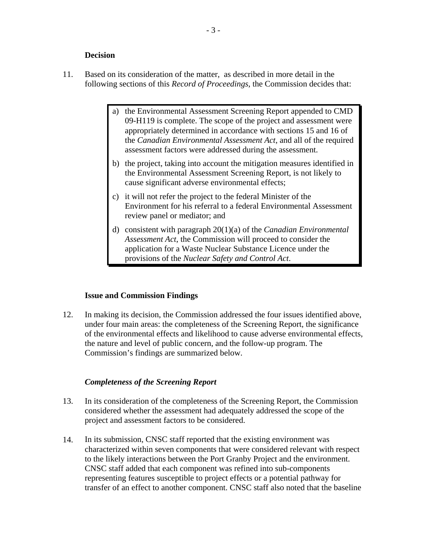#### **Decision**

- <span id="page-5-0"></span>11. Based on its consideration of the matter, as described in more detail in the following sections of this *Record of Proceedings*, the Commission decides that:
	- a) the Environmental Assessment Screening Report appended to CMD 09-H119 is complete. The scope of the project and assessment were appropriately determined in accordance with sections 15 and 16 of the *Canadian Environmental Assessment Act*, and all of the required assessment factors were addressed during the assessment.
	- b) the project, taking into account the mitigation measures identified in the Environmental Assessment Screening Report, is not likely to cause significant adverse environmental effects;
	- c) it will not refer the project to the federal Minister of the Environment for his referral to a federal Environmental Assessment review panel or mediator; and
	- d) consistent with paragraph 20(1)(a) of the *Canadian Environmental Assessment Act*, the Commission will proceed to consider the application for a Waste Nuclear Substance Licence under the provisions of the *Nuclear Safety and Control Act*.

#### **Issue and Commission Findings**

12. In making its decision, the Commission addressed the four issues identified above, under four main areas: the completeness of the Screening Report, the significance of the environmental effects and likelihood to cause adverse environmental effects, the nature and level of public concern, and the follow-up program. The Commission's findings are summarized below.

#### *Completeness of the Screening Report*

- 13. In its consideration of the completeness of the Screening Report, the Commission considered whether the assessment had adequately addressed the scope of the project and assessment factors to be considered.
- 14. In its submission, CNSC staff reported that the existing environment was characterized within seven components that were considered relevant with respect to the likely interactions between the Port Granby Project and the environment. CNSC staff added that each component was refined into sub-components representing features susceptible to project effects or a potential pathway for transfer of an effect to another component. CNSC staff also noted that the baseline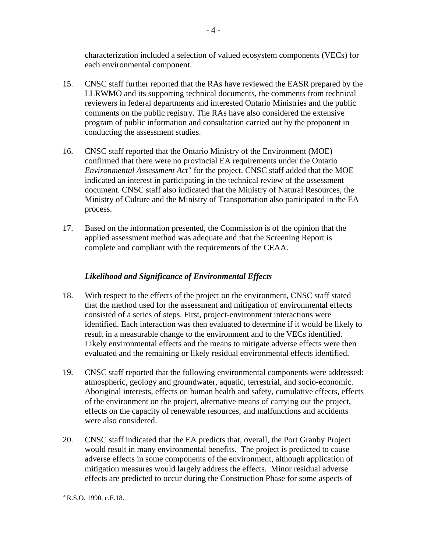<span id="page-6-0"></span>characterization included a selection of valued ecosystem components (VECs) for each environmental component.

- 15. CNSC staff further reported that the RAs have reviewed the EASR prepared by the LLRWMO and its supporting technical documents, the comments from technical reviewers in federal departments and interested Ontario Ministries and the public comments on the public registry. The RAs have also considered the extensive program of public information and consultation carried out by the proponent in conducting the assessment studies.
- 16. CNSC staff reported that the Ontario Ministry of the Environment (MOE) confirmed that there were no provincial EA requirements under the Ontario *Environmental Assessment*  $Act^5$  $Act^5$  *for the project. CNSC staff added that the MOE* indicated an interest in participating in the technical review of the assessment document. CNSC staff also indicated that the Ministry of Natural Resources, the Ministry of Culture and the Ministry of Transportation also participated in the EA process.
- 17. Based on the information presented, the Commission is of the opinion that the applied assessment method was adequate and that the Screening Report is complete and compliant with the requirements of the CEAA.

## *Likelihood and Significance of Environmental Effects*

- 18. With respect to the effects of the project on the environment, CNSC staff stated that the method used for the assessment and mitigation of environmental effects consisted of a series of steps. First, project-environment interactions were identified. Each interaction was then evaluated to determine if it would be likely to result in a measurable change to the environment and to the VECs identified. Likely environmental effects and the means to mitigate adverse effects were then evaluated and the remaining or likely residual environmental effects identified.
- 19. CNSC staff reported that the following environmental components were addressed: atmospheric, geology and groundwater, aquatic, terrestrial, and socio-economic. Aboriginal interests, effects on human health and safety, cumulative effects, effects of the environment on the project, alternative means of carrying out the project, effects on the capacity of renewable resources, and malfunctions and accidents were also considered.
- 20. CNSC staff indicated that the EA predicts that, overall, the Port Granby Project would result in many environmental benefits. The project is predicted to cause adverse effects in some components of the environment, although application of mitigation measures would largely address the effects. Minor residual adverse effects are predicted to occur during the Construction Phase for some aspects of

<span id="page-6-1"></span> $\overline{a}$  $<sup>5</sup>$  R.S.O. 1990, c.E.18.</sup>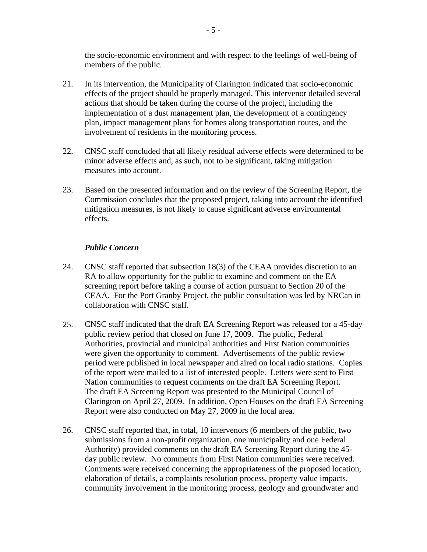<span id="page-7-0"></span>the socio-economic environment and with respect to the feelings of well-being of members of the public.

- 21. In its intervention, the Municipality of Clarington indicated that socio-economic effects of the project should be properly managed. This intervenor detailed several actions that should be taken during the course of the project, including the implementation of a dust management plan, the development of a contingency plan, impact management plans for homes along transportation routes, and the involvement of residents in the monitoring process.
- 22. CNSC staff concluded that all likely residual adverse effects were determined to be minor adverse effects and, as such, not to be significant, taking mitigation measures into account.
- 23. Based on the presented information and on the review of the Screening Report, the Commission concludes that the proposed project, taking into account the identified mitigation measures, is not likely to cause significant adverse environmental effects.

### *Public Concern*

- 24. CNSC staff reported that subsection 18(3) of the CEAA provides discretion to an RA to allow opportunity for the public to examine and comment on the EA screening report before taking a course of action pursuant to Section 20 of the CEAA. For the Port Granby Project, the public consultation was led by NRCan in collaboration with CNSC staff.
- 25. CNSC staff indicated that the draft EA Screening Report was released for a 45-day public review period that closed on June 17, 2009. The public, Federal Authorities, provincial and municipal authorities and First Nation communities were given the opportunity to comment. Advertisements of the public review period were published in local newspaper and aired on local radio stations. Copies of the report were mailed to a list of interested people. Letters were sent to First Nation communities to request comments on the draft EA Screening Report. The draft EA Screening Report was presented to the Municipal Council of Clarington on April 27, 2009. In addition, Open Houses on the draft EA Screening Report were also conducted on May 27, 2009 in the local area.
- 26. CNSC staff reported that, in total, 10 intervenors (6 members of the public, two submissions from a non-profit organization, one municipality and one Federal Authority) provided comments on the draft EA Screening Report during the 45 day public review. No comments from First Nation communities were received. Comments were received concerning the appropriateness of the proposed location, elaboration of details, a complaints resolution process, property value impacts, community involvement in the monitoring process, geology and groundwater and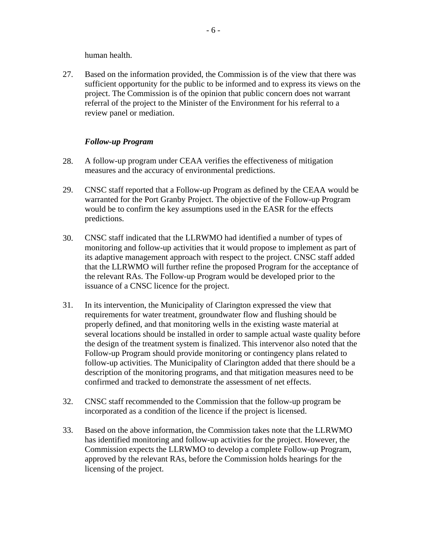human health.

<span id="page-8-0"></span>27. Based on the information provided, the Commission is of the view that there was sufficient opportunity for the public to be informed and to express its views on the project. The Commission is of the opinion that public concern does not warrant referral of the project to the Minister of the Environment for his referral to a review panel or mediation.

### *Follow-up Program*

- 28. A follow-up program under CEAA verifies the effectiveness of mitigation measures and the accuracy of environmental predictions.
- 29. CNSC staff reported that a Follow-up Program as defined by the CEAA would be warranted for the Port Granby Project. The objective of the Follow-up Program would be to confirm the key assumptions used in the EASR for the effects predictions.
- 30. CNSC staff indicated that the LLRWMO had identified a number of types of monitoring and follow-up activities that it would propose to implement as part of its adaptive management approach with respect to the project. CNSC staff added that the LLRWMO will further refine the proposed Program for the acceptance of the relevant RAs. The Follow-up Program would be developed prior to the issuance of a CNSC licence for the project.
- 31. In its intervention, the Municipality of Clarington expressed the view that requirements for water treatment, groundwater flow and flushing should be properly defined, and that monitoring wells in the existing waste material at several locations should be installed in order to sample actual waste quality before the design of the treatment system is finalized. This intervenor also noted that the Follow-up Program should provide monitoring or contingency plans related to follow-up activities. The Municipality of Clarington added that there should be a description of the monitoring programs, and that mitigation measures need to be confirmed and tracked to demonstrate the assessment of net effects.
- 32. CNSC staff recommended to the Commission that the follow-up program be incorporated as a condition of the licence if the project is licensed.
- 33. Based on the above information, the Commission takes note that the LLRWMO has identified monitoring and follow-up activities for the project. However, the Commission expects the LLRWMO to develop a complete Follow-up Program, approved by the relevant RAs, before the Commission holds hearings for the licensing of the project.